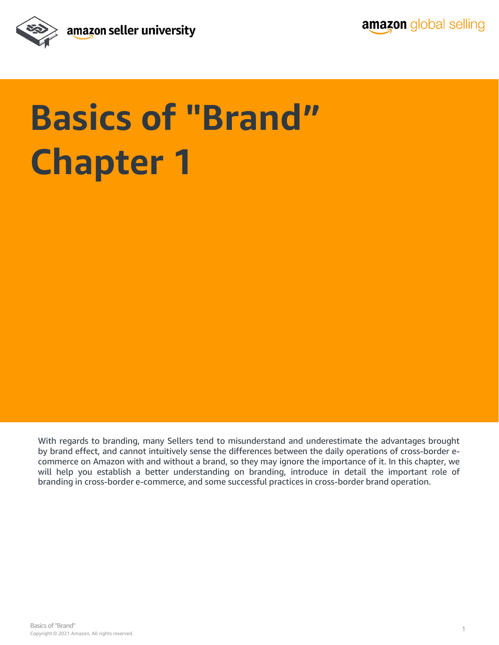

## **Basics of "Brand" Chapter 1**

With regards to branding, many Sellers tend to misunderstand and underestimate the advantages brought by brand effect, and cannot intuitively sense the differences between the daily operations of cross-border ecommerce on Amazon with and without a brand, so they may ignore the importance of it. In this chapter, we will help you establish a better understanding on branding, introduce in detail the important role of branding in cross-border e-commerce, and some successful practices in cross-border brand operation.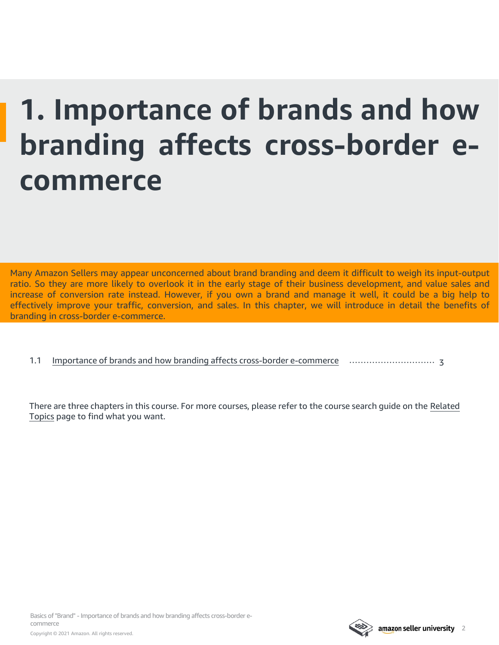### **1. Importance of brands and how branding affects cross-border ecommerce**

Many Amazon Sellers may appear unconcerned about brand branding and deem it difficult to weigh its input-output ratio. So they are more likely to overlook it in the early stage of their business development, and value sales and increase of conversion rate instead. However, if you own a brand and manage it well, it could be a big help to effectively improve your traffic, conversion, and sales. In this chapter, we will introduce in detail the benefits of branding in cross-border e-commerce.

1.1 [Importance of brands and how branding affects cross-border e-commerce](#page-2-0) ………………………… 3

[There are three chapters in this course. For more courses, please refer to the course search guide on the Related](#page-3-0) Topics page to find what you want.

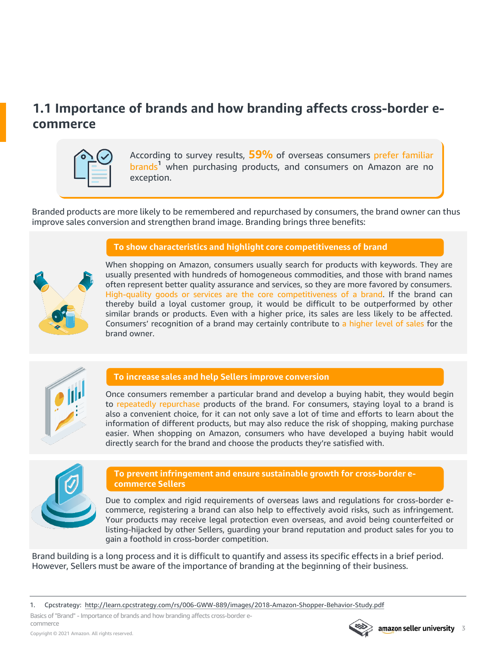### <span id="page-2-0"></span>**1.1 Importance of brands and how branding affects cross-border ecommerce**

According to survey results, **59%** of overseas consumers prefer familiar brands**<sup>1</sup>** when purchasing products, and consumers on Amazon are no exception.

Branded products are more likely to be remembered and repurchased by consumers, the brand owner can thus improve sales conversion and strengthen brand image. Branding brings three benefits:

#### **To show characteristics and highlight core competitiveness of brand**



When shopping on Amazon, consumers usually search for products with keywords. They are usually presented with hundreds of homogeneous commodities, and those with brand names often represent better quality assurance and services, so they are more favored by consumers. High-quality goods or services are the core competitiveness of a brand. If the brand can thereby build a loyal customer group, it would be difficult to be outperformed by other similar brands or products. Even with a higher price, its sales are less likely to be affected. Consumers' recognition of a brand may certainly contribute to a higher level of sales for the brand owner.



#### **To increase sales and help Sellers improve conversion**

Once consumers remember a particular brand and develop a buying habit, they would begin to repeatedly repurchase products of the brand. For consumers, staying loyal to a brand is also a convenient choice, for it can not only save a lot of time and efforts to learn about the information of different products, but may also reduce the risk of shopping, making purchase easier. When shopping on Amazon, consumers who have developed a buying habit would directly search for the brand and choose the products they're satisfied with.



#### **To prevent infringement and ensure sustainable growth for cross-border ecommerce Sellers**

Due to complex and rigid requirements of overseas laws and regulations for cross-border ecommerce, registering a brand can also help to effectively avoid risks, such as infringement. Your products may receive legal protection even overseas, and avoid being counterfeited or listing-hijacked by other Sellers, guarding your brand reputation and product sales for you to gain a foothold in cross-border competition.

Brand building is a long process and it is difficult to quantify and assess its specific effects in a brief period. However, Sellers must be aware of the importance of branding at the beginning of their business.

1. Cpcstrategy: <http://learn.cpcstrategy.com/rs/006-GWW-889/images/2018-Amazon-Shopper-Behavior-Study.pdf>

Basics of "Brand" - Importance of brands and how branding affects cross-border ecommerce

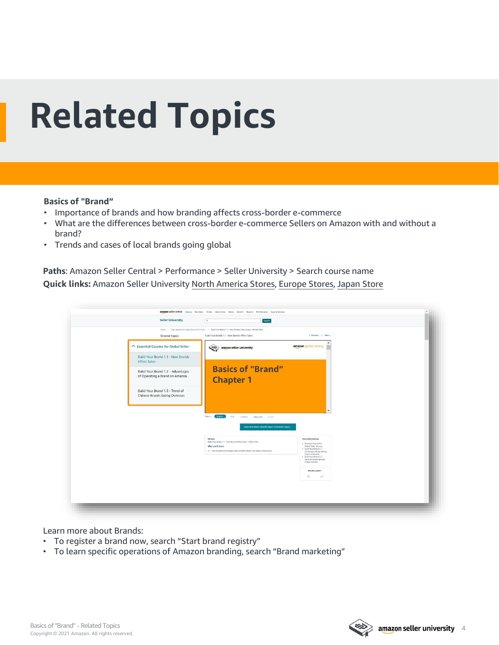# <span id="page-3-0"></span>**Related Topics**

#### **Basics of "Brand"**

- Importance of brands and how branding affects cross-border e-commerce
- What are the differences between cross-border e-commerce Sellers on Amazon with and without a brand?
- Trends and cases of local brands going global

**Paths**: Amazon Seller Central > Performance > Seller University > Search course name **Quick links:** Amazon Seller University [North America Stores](https://sellercentral.amazon.com/learn/ref=xx_su_dnav_xx?ref_=xx_swlang_head_xx&mons_sel_locale=en_US&languageSwitched=1), [Europe Stores](https://sellercentral.amazon.co.uk/learn/ref=xx_su_dnav_xx?ref_=xx_swlang_head_xx&mons_sel_locale=en_DE&languageSwitched=1), [Japan Store](https://sellercentral-japan.amazon.com/learn/ref=xx_su_dnav_xx?ref_=xx_swlang_head_xx&mons_sel_locale=en_JP&languageSwitched=1)

| Home > Topic Exvential Courses for Global Seller > Build Your Brand 1.1 - How Brands Affect Sales - Global Seller<br>Build Your Brand 1.1 - How Brands Affect Sales<br>c. Previous / Next a<br><b>Browse topics</b><br>△ Essential Courses for Global Seller<br>amazon global selling<br>amazon seller university |
|-------------------------------------------------------------------------------------------------------------------------------------------------------------------------------------------------------------------------------------------------------------------------------------------------------------------|
|                                                                                                                                                                                                                                                                                                                   |
|                                                                                                                                                                                                                                                                                                                   |
| Build Your Brand 1.1 - How Brands<br>Affect Sales -                                                                                                                                                                                                                                                               |
| <b>Basics of "Brand"</b><br>Build Your Brand 1.2 - Advantages                                                                                                                                                                                                                                                     |
| of Operating a Brand on Amazon<br><b>Chapter 1</b>                                                                                                                                                                                                                                                                |
| Build Your Brand 1.3 - Trend of<br><b>Chinese Brands Going Overseas</b>                                                                                                                                                                                                                                           |
|                                                                                                                                                                                                                                                                                                                   |
| View in:<br>English<br>中文<br>muning Timg Met. 한국이                                                                                                                                                                                                                                                                 |
| Learn more about a Brand's impact on Amazon's opera.                                                                                                                                                                                                                                                              |
| More Information<br>Module                                                                                                                                                                                                                                                                                        |
| Build Your Brand 1.1 - How Brands Affect Sales - Gobal Salar<br>· Essential Courses for<br>What you'll learn:<br>Global Seller Success<br>. Build Your Brand 1.2 -<br>$\mathcal{S}$ . This document introduces what benefits a brand can bring to businesses.                                                     |
| Adventages of Operating a<br>Brand on Amazon:<br>. Build Your Brand 1.3 -<br>Trend of Chinese Brands<br>Going Overseas                                                                                                                                                                                            |
| Was this useful?                                                                                                                                                                                                                                                                                                  |
| $\times$<br>$\checkmark$                                                                                                                                                                                                                                                                                          |

Learn more about Brands:

- To register a brand now, search "Start brand registry"
- To learn specific operations of Amazon branding, search "Brand marketing"